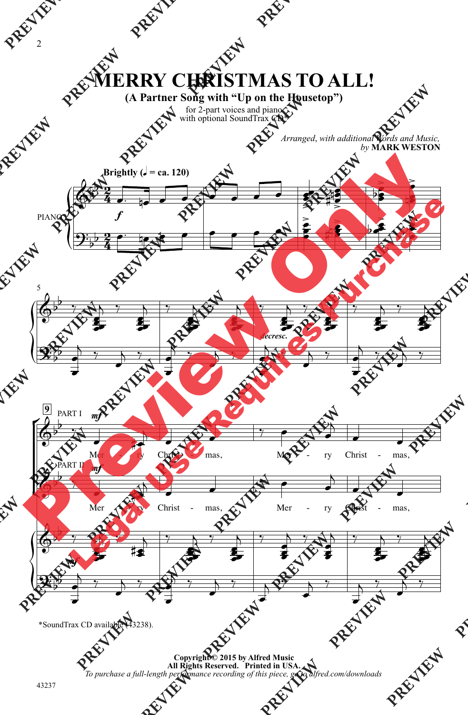## **MERRY CHRISTMAS TO ALL!**

**(A Partner Song with "Up on the Housetop")**

for 2-part voices and piano with optional SoundTrax CD\*

> *Arranged*, *with additional Words and Music, by* **MARK WESTON**



\*SoundTrax CD available (43238).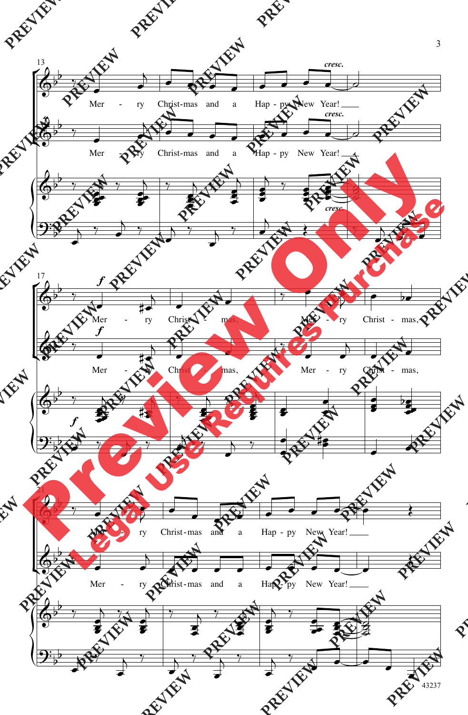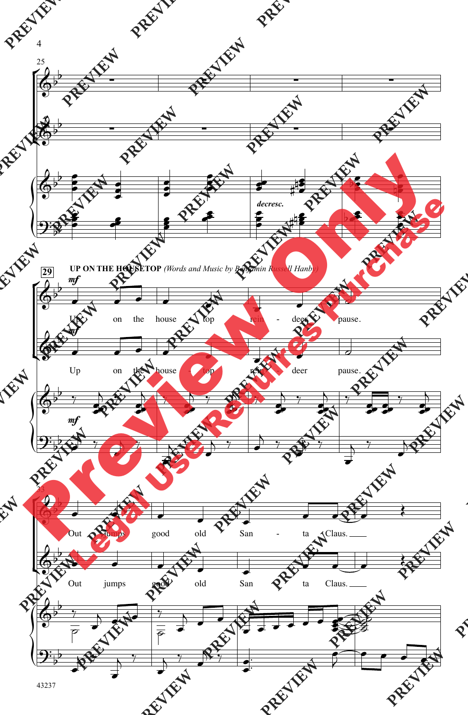

43237

4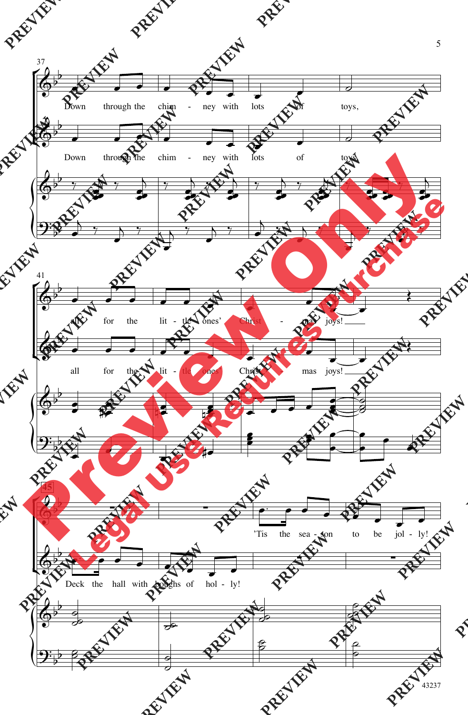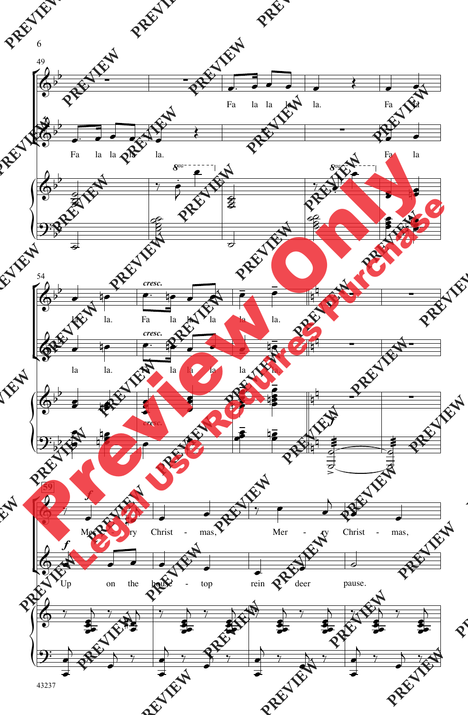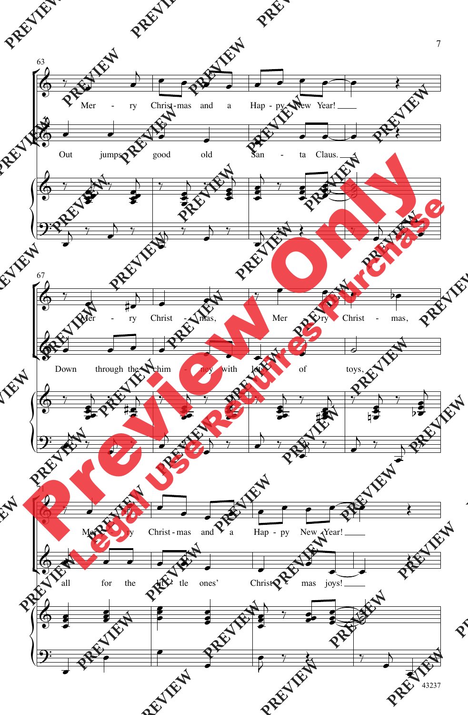

43237